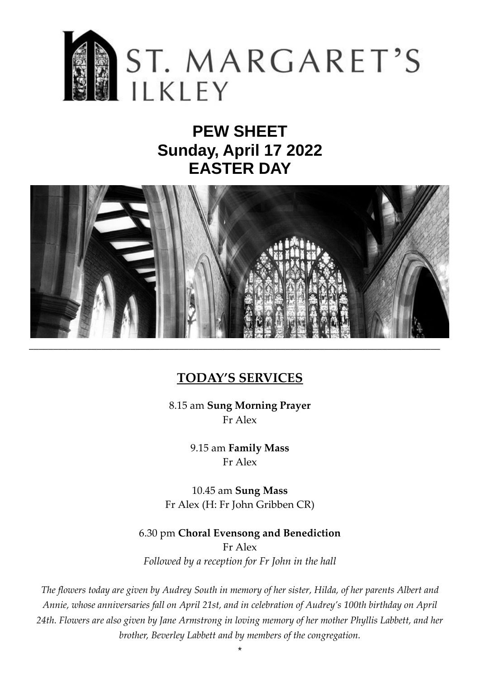

# **PEW SHEET Sunday, April 17 2022 EASTER DAY**



## **TODAY'S SERVICES**

8.15 am **Sung Morning Prayer** Fr Alex

> 9.15 am **Family Mass** Fr Alex

10.45 am **Sung Mass** Fr Alex (H: Fr John Gribben CR)

#### 6.30 pm **Choral Evensong and Benediction**

Fr Alex *Followed by a reception for Fr John in the hall*

*The flowers today are given by Audrey South in memory of her sister, Hilda, of her parents Albert and Annie, whose anniversaries fall on April 21st, and in celebration of Audrey's 100th birthday on April 24th. Flowers are also given by Jane Armstrong in loving memory of her mother Phyllis Labbett, and her brother, Beverley Labbett and by members of the congregation.*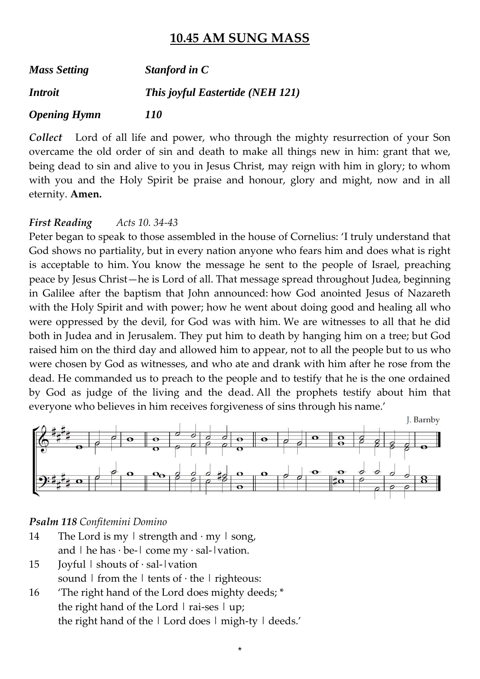## **10.45 AM SUNG MASS**

| <b>Mass Setting</b> | <b>Stanford in C</b> |  |
|---------------------|----------------------|--|
|                     |                      |  |

*Introit This joyful Eastertide (NEH 121)*

#### *Opening Hymn 110*

*Collect* Lord of all life and power, who through the mighty resurrection of your Son overcame the old order of sin and death to make all things new in him: grant that we, being dead to sin and alive to you in Jesus Christ, may reign with him in glory; to whom with you and the Holy Spirit be praise and honour, glory and might, now and in all eternity. **Amen.**

### *First Reading Acts 10. 34-43*

Peter began to speak to those assembled in the house of Cornelius: 'I truly understand that God shows no partiality, but in every nation anyone who fears him and does what is right is acceptable to him. You know the message he sent to the people of Israel, preaching peace by Jesus Christ—he is Lord of all. That message spread throughout Judea, beginning in Galilee after the baptism that John announced: how God anointed Jesus of Nazareth with the Holy Spirit and with power; how he went about doing good and healing all who were oppressed by the devil, for God was with him. We are witnesses to all that he did both in Judea and in Jerusalem. They put him to death by hanging him on a tree; but God raised him on the third day and allowed him to appear, not to all the people but to us who were chosen by God as witnesses, and who ate and drank with him after he rose from the dead. He commanded us to preach to the people and to testify that he is the one ordained by God as judge of the living and the dead. All the prophets testify about him that everyone who believes in him receives forgiveness of sins through his name.'



#### *Psalm 118 Confitemini Domino*

- 14 The Lord is my  $\vert$  strength and  $\cdot$  my  $\vert$  song, and  $\vert$  he has  $\cdot$  be- $\vert$  come my  $\cdot$  sal- $\vert$  vation.
- 15 Joyful  $\vert$  shouts of  $\cdot$  sal- $\vert$  vation sound  $\vert$  from the  $\vert$  tents of  $\cdot$  the  $\vert$  righteous:
- 16 'The right hand of the Lord does mighty deeds; \*

the right hand of the Lord  $\vert$  rai-ses  $\vert$  up;

the right hand of the | Lord does | migh-ty | deeds.'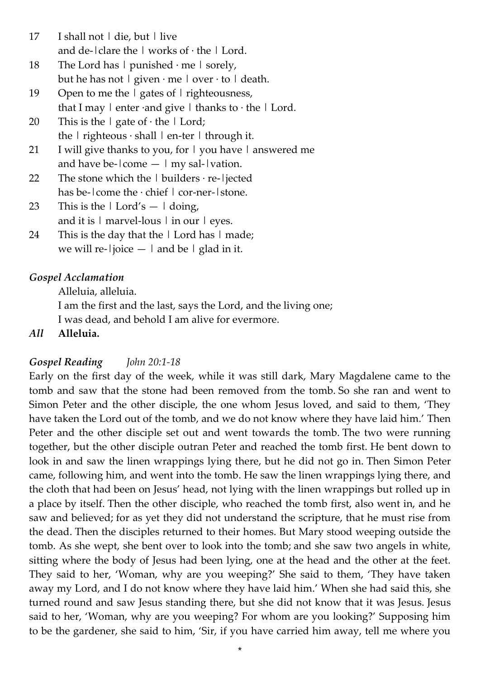- 17 I shall not | die, but | live and de- $|$ clare the  $|$  works of  $\cdot$  the  $|$  Lord.
- 18 The Lord has  $\vert$  punished  $\cdot$  me  $\vert$  sorely, but he has not  $|$  given  $\cdot$  me  $|$  over  $\cdot$  to  $|$  death.
- 19 Open to me the | gates of | righteousness, that I may  $\vert$  enter  $\cdot$  and give  $\vert$  thanks to  $\cdot$  the  $\vert$  Lord.
- 20 This is the  $|$  gate of  $\cdot$  the  $|$  Lord; the  $\vert$  righteous  $\cdot$  shall  $\vert$  en-ter  $\vert$  through it.
- 21 I will give thanks to you, for | you have | answered me and have be- $|{\rm come} - |{\rm my\, sal} - |{\rm vation}|$ .
- 22 The stone which the  $\vert$  builders  $\cdot$  re- $\vert$  jected has be- $|$ come the  $\cdot$  chief  $|$  cor-ner- $|$ stone.
- 23 This is the  $|$  Lord's  $|$  doing, and it is  $\vert$  marvel-lous  $\vert$  in our  $\vert$  eyes.
- 24 This is the day that the  $\vert$  Lord has  $\vert$  made; we will re- $|i$ oice  $-|$  and be  $|$  glad in it.

### *Gospel Acclamation*

Alleluia, alleluia.

I am the first and the last, says the Lord, and the living one;

I was dead, and behold I am alive for evermore.

*All* **Alleluia.**

## *Gospel Reading**John 20:1-18*

Early on the first day of the week, while it was still dark, Mary Magdalene came to the tomb and saw that the stone had been removed from the tomb. So she ran and went to Simon Peter and the other disciple, the one whom Jesus loved, and said to them, 'They have taken the Lord out of the tomb, and we do not know where they have laid him.' Then Peter and the other disciple set out and went towards the tomb. The two were running together, but the other disciple outran Peter and reached the tomb first. He bent down to look in and saw the linen wrappings lying there, but he did not go in. Then Simon Peter came, following him, and went into the tomb. He saw the linen wrappings lying there, and the cloth that had been on Jesus' head, not lying with the linen wrappings but rolled up in a place by itself. Then the other disciple, who reached the tomb first, also went in, and he saw and believed; for as yet they did not understand the scripture, that he must rise from the dead. Then the disciples returned to their homes. But Mary stood weeping outside the tomb. As she wept, she bent over to look into the tomb; and she saw two angels in white, sitting where the body of Jesus had been lying, one at the head and the other at the feet. They said to her, 'Woman, why are you weeping?' She said to them, 'They have taken away my Lord, and I do not know where they have laid him.' When she had said this, she turned round and saw Jesus standing there, but she did not know that it was Jesus. Jesus said to her, 'Woman, why are you weeping? For whom are you looking?' Supposing him to be the gardener, she said to him, 'Sir, if you have carried him away, tell me where you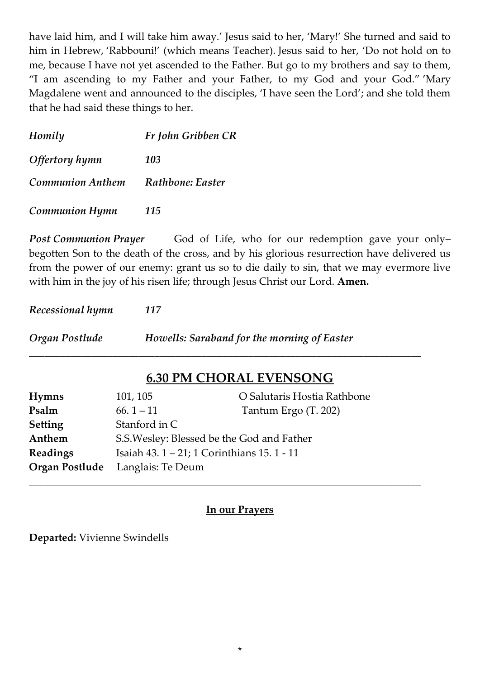have laid him, and I will take him away.' Jesus said to her, 'Mary!' She turned and said to him in Hebrew, 'Rabbouni!' (which means Teacher). Jesus said to her, 'Do not hold on to me, because I have not yet ascended to the Father. But go to my brothers and say to them, "I am ascending to my Father and your Father, to my God and your God." 'Mary Magdalene went and announced to the disciples, 'I have seen the Lord'; and she told them that he had said these things to her.

| Homily                  | Fr John Gribben CR |
|-------------------------|--------------------|
| Offertory hymn          | 103                |
| <b>Communion Anthem</b> | Rathbone: Easter   |
| <b>Communion Hymn</b>   | 115                |

**Post Communion Prayer** God of Life, who for our redemption gave your onlybegotten Son to the death of the cross, and by his glorious resurrection have delivered us from the power of our enemy: grant us so to die daily to sin, that we may evermore live with him in the joy of his risen life; through Jesus Christ our Lord. **Amen.**

*Recessional hymn 117*

*Organ Postlude Howells: Saraband for the morning of Easter*

## **6.30 PM CHORAL EVENSONG**

*\_\_\_\_\_\_\_\_\_\_\_\_\_\_\_\_\_\_\_\_\_\_\_\_\_\_\_\_\_\_\_\_\_\_\_\_\_\_\_\_\_\_\_\_\_\_\_\_\_\_\_\_\_\_\_\_\_\_\_\_\_\_\_\_\_\_\_\_\_\_\_\_\_\_\_*

| <b>Hymns</b>          | 101, 105                                    | O Salutaris Hostia Rathbone |
|-----------------------|---------------------------------------------|-----------------------------|
| Psalm                 | $66.1 - 11$                                 | Tantum Ergo (T. 202)        |
| <b>Setting</b>        | Stanford in C                               |                             |
| Anthem                | S.S. Wesley: Blessed be the God and Father  |                             |
| Readings              | Isaiah 43. 1 – 21; 1 Corinthians 15. 1 - 11 |                             |
| <b>Organ Postlude</b> | Langlais: Te Deum                           |                             |

#### **In our Prayers**

*\_\_\_\_\_\_\_\_\_\_\_\_\_\_\_\_\_\_\_\_\_\_\_\_\_\_\_\_\_\_\_\_\_\_\_\_\_\_\_\_\_\_\_\_\_\_\_\_\_\_\_\_\_\_\_\_\_\_\_\_\_\_\_\_\_\_\_\_\_\_\_\_\_\_\_*

**Departed:** Vivienne Swindells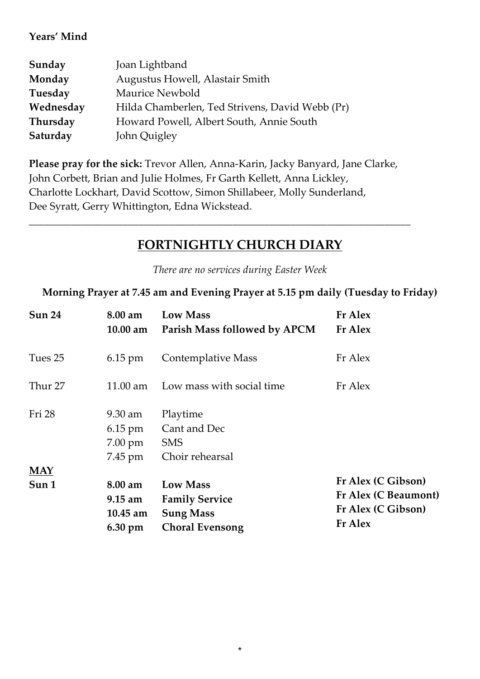#### **Years' Mind**

| Sunday    | Joan Lightband                                  |  |
|-----------|-------------------------------------------------|--|
| Monday    | Augustus Howell, Alastair Smith                 |  |
| Tuesday   | <b>Maurice Newbold</b>                          |  |
| Wednesday | Hilda Chamberlen, Ted Strivens, David Webb (Pr) |  |
| Thursday  | Howard Powell, Albert South, Annie South        |  |
| Saturday  | John Quigley                                    |  |

**Please pray for the sick:** Trevor Allen, Anna-Karin, Jacky Banyard, Jane Clarke, John Corbett, Brian and Julie Holmes, Fr Garth Kellett, Anna Lickley, Charlotte Lockhart, David Scottow, Simon Shillabeer, Molly Sunderland, Dee Syratt, Gerry Whittington, Edna Wickstead.

*\_\_\_\_\_\_\_\_\_\_\_\_\_\_\_\_\_\_\_\_\_\_\_\_\_\_\_\_\_\_\_\_\_\_\_\_\_\_\_\_\_\_\_\_\_\_\_\_\_\_\_\_\_\_\_\_\_\_\_\_\_\_\_\_\_\_\_\_\_\_\_\_\_*

## **FORTNIGHTLY CHURCH DIARY**

*There are no services during Easter Week*

**Morning Prayer at 7.45 am and Evening Prayer at 5.15 pm daily (Tuesday to Friday)**

| Sun <sub>24</sub>                | 8.00 am<br>$10.00$ am                                           | <b>Low Mass</b><br><b>Parish Mass followed by APCM</b>                                 | <b>Fr</b> Alex<br><b>Fr</b> Alex                                                   |
|----------------------------------|-----------------------------------------------------------------|----------------------------------------------------------------------------------------|------------------------------------------------------------------------------------|
| Tues 25                          | $6.15 \text{ pm}$                                               | <b>Contemplative Mass</b>                                                              | Fr Alex                                                                            |
| Thur <sub>27</sub>               | $11.00$ am                                                      | Low mass with social time                                                              | Fr Alex                                                                            |
| Fri 28                           | $9.30 \text{ am}$<br>$6.15 \text{ pm}$<br>7.00 pm<br>7.45 pm    | Playtime<br>Cant and Dec<br><b>SMS</b><br>Choir rehearsal                              |                                                                                    |
| $\overline{\text{MAX}}$<br>Sun 1 | 8.00 am<br>$9.15 \text{ am}$<br>$10.45$ am<br>$6.30 \text{ pm}$ | <b>Low Mass</b><br><b>Family Service</b><br><b>Sung Mass</b><br><b>Choral Evensong</b> | Fr Alex (C Gibson)<br>Fr Alex (C Beaumont)<br>Fr Alex (C Gibson)<br><b>Fr</b> Alex |

\*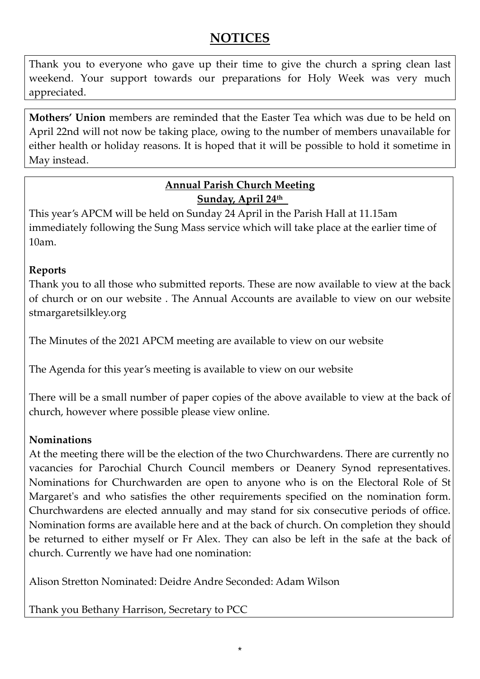## **NOTICES**

Thank you to everyone who gave up their time to give the church a spring clean last weekend. Your support towards our preparations for Holy Week was very much appreciated.

**Mothers' Union** members are reminded that the Easter Tea which was due to be held on April 22nd will not now be taking place, owing to the number of members unavailable for either health or holiday reasons. It is hoped that it will be possible to hold it sometime in May instead.

### **Annual Parish Church Meeting Sunday, April 24th**

This year's APCM will be held on Sunday 24 April in the Parish Hall at 11.15am immediately following the Sung Mass service which will take place at the earlier time of 10am.

#### **Reports**

Thank you to all those who submitted reports. These are now available to view at the back of church or on our website . The Annual Accounts are available to view on our website stmargaretsilkley.org

The Minutes of the 2021 APCM meeting are available to view on our website

The Agenda for this year's meeting is available to view on our website

There will be a small number of paper copies of the above available to view at the back of church, however where possible please view online.

### **Nominations**

At the meeting there will be the election of the two Churchwardens. There are currently no vacancies for Parochial Church Council members or Deanery Synod representatives. Nominations for Churchwarden are open to anyone who is on the Electoral Role of St Margaret's and who satisfies the other requirements specified on the nomination form. Churchwardens are elected annually and may stand for six consecutive periods of office. Nomination forms are available here and at the back of church. On completion they should be returned to either myself or Fr Alex. They can also be left in the safe at the back of church. Currently we have had one nomination:

Alison Stretton Nominated: Deidre Andre Seconded: Adam Wilson

Thank you Bethany Harrison, Secretary to PCC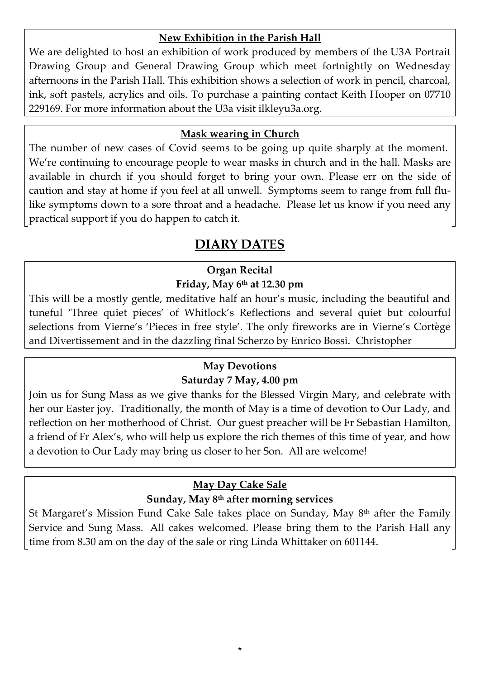### **New Exhibition in the Parish Hall**

We are delighted to host an exhibition of work produced by members of the U3A Portrait Drawing Group and General Drawing Group which meet fortnightly on Wednesday afternoons in the Parish Hall. This exhibition shows a selection of work in pencil, charcoal, ink, soft pastels, acrylics and oils. To purchase a painting contact Keith Hooper on 07710 229169. For more information about the U3a visit ilkleyu3a.org.

#### **Mask wearing in Church**

The number of new cases of Covid seems to be going up quite sharply at the moment. We're continuing to encourage people to wear masks in church and in the hall. Masks are available in church if you should forget to bring your own. Please err on the side of caution and stay at home if you feel at all unwell. Symptoms seem to range from full flulike symptoms down to a sore throat and a headache. Please let us know if you need any practical support if you do happen to catch it.

## **DIARY DATES**

### **Organ Recital Friday, May 6th at 12.30 pm**

This will be a mostly gentle, meditative half an hour's music, including the beautiful and tuneful 'Three quiet pieces' of Whitlock's Reflections and several quiet but colourful selections from Vierne's 'Pieces in free style'. The only fireworks are in Vierne's Cortège and Divertissement and in the dazzling final Scherzo by Enrico Bossi. Christopher

## **May Devotions**

### **Saturday 7 May, 4.00 pm**

Join us for Sung Mass as we give thanks for the Blessed Virgin Mary, and celebrate with her our Easter joy. Traditionally, the month of May is a time of devotion to Our Lady, and reflection on her motherhood of Christ. Our guest preacher will be Fr Sebastian Hamilton, a friend of Fr Alex's, who will help us explore the rich themes of this time of year, and how a devotion to Our Lady may bring us closer to her Son. All are welcome!

### **May Day Cake Sale Sunday, May 8th after morning services**

St Margaret's Mission Fund Cake Sale takes place on Sunday, May 8th after the Family Service and Sung Mass. All cakes welcomed. Please bring them to the Parish Hall any time from 8.30 am on the day of the sale or ring Linda Whittaker on 601144.